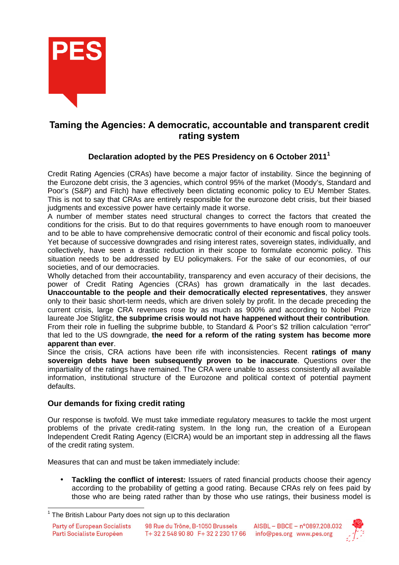

## **Taming the Agencies: A democratic, accountable and transparent credit rating system**

## **Declaration adopted by the PES Presidency on 6 October 2011<sup>1</sup>**

Credit Rating Agencies (CRAs) have become a major factor of instability. Since the beginning of the Eurozone debt crisis, the 3 agencies, which control 95% of the market (Moody's, Standard and Poor's (S&P) and Fitch) have effectively been dictating economic policy to EU Member States. This is not to say that CRAs are entirely responsible for the eurozone debt crisis, but their biased judgments and excessive power have certainly made it worse.

A number of member states need structural changes to correct the factors that created the conditions for the crisis. But to do that requires governments to have enough room to manoeuver and to be able to have comprehensive democratic control of their economic and fiscal policy tools. Yet because of successive downgrades and rising interest rates, sovereign states, individually, and collectively, have seen a drastic reduction in their scope to formulate economic policy. This situation needs to be addressed by EU policymakers. For the sake of our economies, of our societies, and of our democracies.

Wholly detached from their accountability, transparency and even accuracy of their decisions, the power of Credit Rating Agencies (CRAs) has grown dramatically in the last decades. **Unaccountable to the people and their democratically elected representatives**, they answer only to their basic short-term needs, which are driven solely by profit. In the decade preceding the current crisis, large CRA revenues rose by as much as 900% and according to Nobel Prize laureate Joe Stiglitz, **the subprime crisis would not have happened without their contribution**. From their role in fuelling the subprime bubble, to Standard & Poor's \$2 trillion calculation "error" that led to the US downgrade, **the need for a reform of the rating system has become more apparent than ever**.

Since the crisis, CRA actions have been rife with inconsistencies. Recent **ratings of many sovereign debts have been subsequently proven to be inaccurate**. Questions over the impartiality of the ratings have remained. The CRA were unable to assess consistently all available information, institutional structure of the Eurozone and political context of potential payment defaults.

## **Our demands for fixing credit rating**

Our response is twofold. We must take immediate regulatory measures to tackle the most urgent problems of the private credit-rating system. In the long run, the creation of a European Independent Credit Rating Agency (EICRA) would be an important step in addressing all the flaws of the credit rating system.

Measures that can and must be taken immediately include:

• **Tackling the conflict of interest:** Issuers of rated financial products choose their agency according to the probability of getting a good rating. Because CRAs rely on fees paid by those who are being rated rather than by those who use ratings, their business model is

Parti Socialiste Européen T+32 2 548 90 80 F+32 2 230 17 66



 $1$  The British Labour Party does not sign up to this declaration **Party of European Socialists** 98 Rue du Trône, B-1050 Brussels